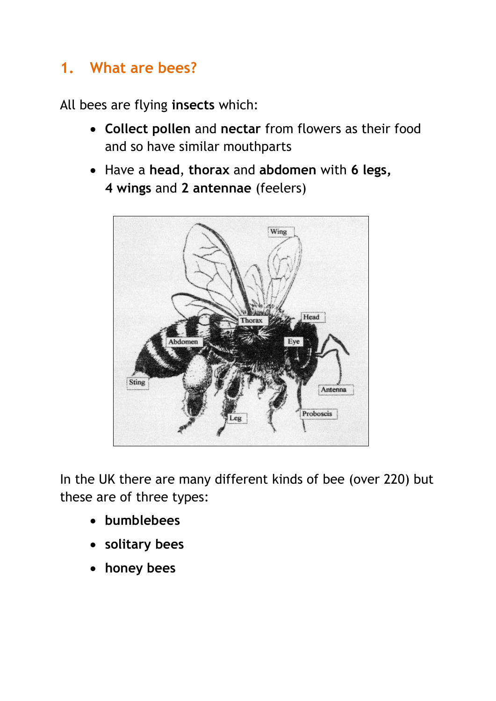# **1. What are bees?**

All bees are flying **insects** which:

- **Collect pollen** and **nectar** from flowers as their food and so have similar mouthparts
- Have a **head**, **thorax** and **abdomen** with **6 legs, 4 wings** and **2 antennae** (feelers)



In the UK there are many different kinds of bee (over 220) but these are of three types:

- **bumblebees**
- **solitary bees**
- **honey bees**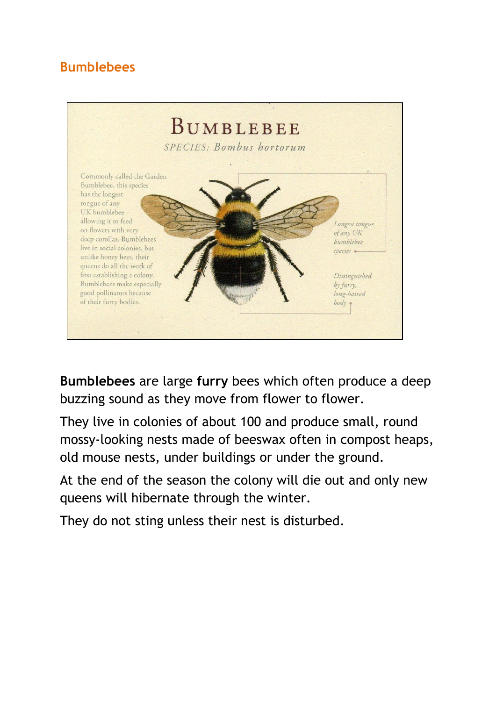## **Bumblebees**



**Bumblebees** are large **furry** bees which often produce a deep buzzing sound as they move from flower to flower.

They live in colonies of about 100 and produce small, round mossy-looking nests made of beeswax often in compost heaps, old mouse nests, under buildings or under the ground.

At the end of the season the colony will die out and only new queens will hibernate through the winter.

They do not sting unless their nest is disturbed.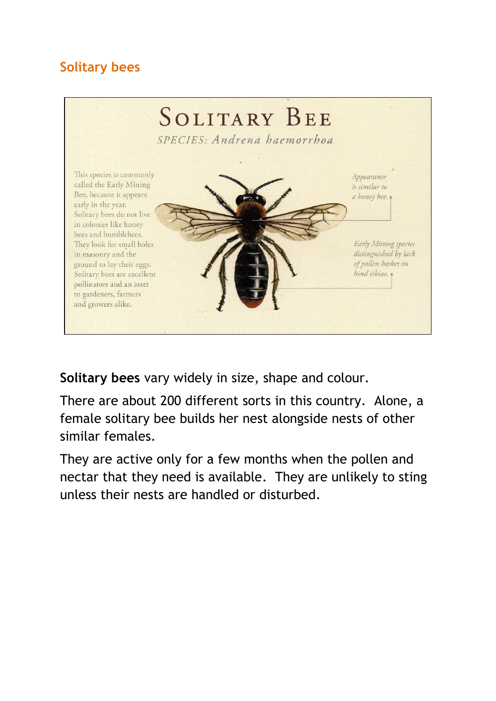## **Solitary bees**



**Solitary bees** vary widely in size, shape and colour.

There are about 200 different sorts in this country. Alone, a female solitary bee builds her nest alongside nests of other similar females.

They are active only for a few months when the pollen and nectar that they need is available. They are unlikely to sting unless their nests are handled or disturbed.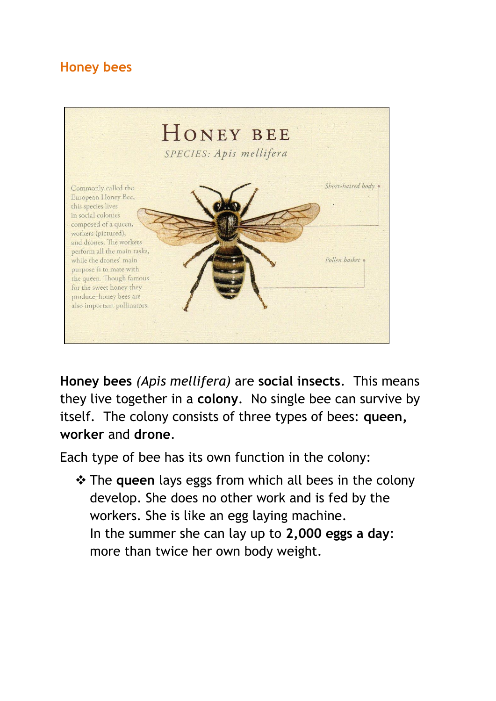#### **Honey bees**



**Honey bees** *(Apis mellifera)* are **social insects**. This means they live together in a **colony**. No single bee can survive by itself. The colony consists of three types of bees: **queen, worker** and **drone**.

Each type of bee has its own function in the colony:

 $\triangle$  **The queen** lays eggs from which all bees in the colony develop. She does no other work and is fed by the workers. She is like an egg laying machine. In the summer she can lay up to **2,000 eggs a day**: more than twice her own body weight.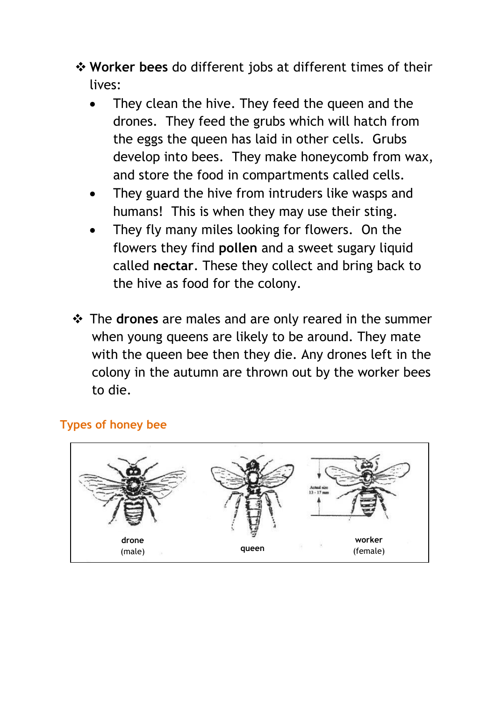- **Worker bees** do different jobs at different times of their lives:
	- They clean the hive. They feed the queen and the drones. They feed the grubs which will hatch from the eggs the queen has laid in other cells. Grubs develop into bees. They make honeycomb from wax, and store the food in compartments called cells.
	- They guard the hive from intruders like wasps and humans! This is when they may use their sting.
	- They fly many miles looking for flowers. On the flowers they find **pollen** and a sweet sugary liquid called **nectar**. These they collect and bring back to the hive as food for the colony.
- The **drones** are males and are only reared in the summer when young queens are likely to be around. They mate with the queen bee then they die. Any drones left in the colony in the autumn are thrown out by the worker bees to die.

#### **Types of honey bee**